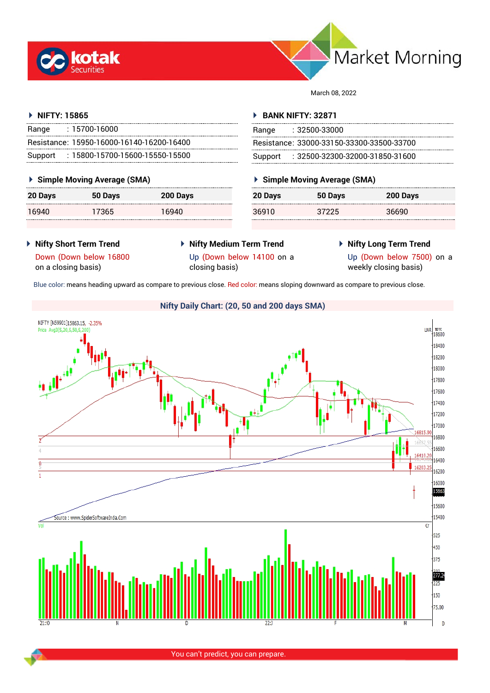



March 08, 2022

# **NIFTY: 15865**

| Range   | : 15700-16000                             |
|---------|-------------------------------------------|
|         | Resistance: 15950-16000-16140-16200-16400 |
| Support | $: 15800$ -15700-15600-15550-15500        |

# **Simple Moving Average (SMA)**

| <b>20 Days</b> | 50 Days | 200 Days |
|----------------|---------|----------|
| 16940          | 17365   | 16940    |

# **BANK NIFTY: 32871**

| Range | : 32500-33000                             |
|-------|-------------------------------------------|
|       | Resistance: 33000-33150-33300-33500-33700 |
|       | Support: : 32500-32300-32000-31850-31600  |

# **Simple Moving Average (SMA)**

| 20 Days | 50 Days | 200 Days |
|---------|---------|----------|
| 36910   | 37225   | 36690    |

- **Nifty Short Term Trend**
- **Nifty Medium Term Trend**
- **Nifty Long Term Trend**

Down (Down below 16800 on a closing basis)

Up (Down below 14100 on a closing basis)

Up (Down below 7500) on a weekly closing basis)

Blue color: means heading upward as compare to previous close. Red color: means sloping downward as compare to previous close.

# NIFTY [N59901]15863.15, -2.35% 1819<br>18600 Price Avg3(S.20.S.50 **LNR** 18400 18200  $\frac{1}{18000}$ 17800 17600 17400 17200 17000 16815.9 16800 6600 7 16410.2 16400  $\overline{0}$ 16203.25 6200 16000 15863 15600 15400 Source : www.SpiderSoftwareIndia.Con  $\overline{G}$ 525  $\frac{1}{450}$  $375$ 277.24  $725$  $\frac{1}{150}$ 75.00 DI

You can't predict, you can prepare.

# **Nifty Daily Chart: (20, 50 and 200 days SMA)**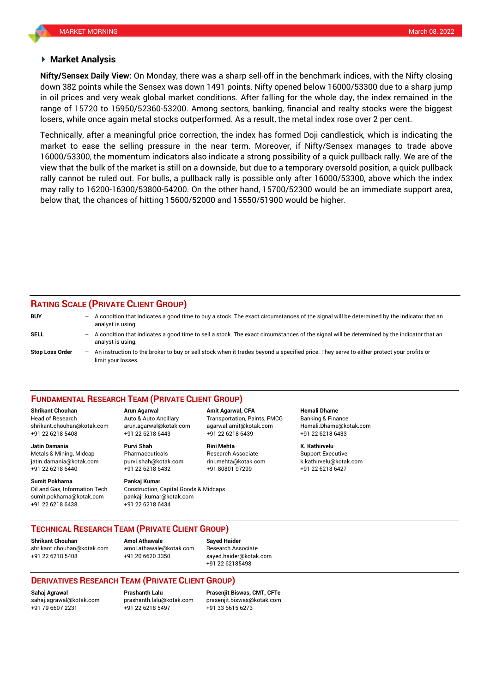# **Market Analysis**

down 382 points while the Sensex was down 1491 points. Nifty opened below 16000/53300 due to a sharp jump **Nifty/Sensex Daily View:** On Monday, there was a sharp sell-off in the benchmark indices, with the Nifty closing in oil prices and very weak global market conditions. After falling for the whole day, the index remained in the range of 15720 to 15950/52360-53200. Among sectors, banking, financial and realty stocks were the biggest losers, while once again metal stocks outperformed. As a result, the metal index rose over 2 per cent.

Technically, after a meaningful price correction, the index has formed Doji candlestick, which is indicating the market to ease the selling pressure in the near term. Moreover, if Nifty/Sensex manages to trade above 16000/53300, the momentum indicators also indicate a strong possibility of a quick pullback rally. We are of the view that the bulk of the market is still on a downside, but due to a temporary oversold position, a quick pullback rally cannot be ruled out. For bulls, a pullback rally is possible only after 16000/53300, above which the index may rally to 16200-16300/53800-54200. On the other hand, 15700/52300 would be an immediate support area, below that, the chances of hitting 15600/52000 and 15550/51900 would be higher.

# **RATING SCALE (PRIVATE CLIENT GROUP)**

| <b>BUY</b>             | -                        | A condition that indicates a good time to buy a stock. The exact circumstances of the signal will be determined by the indicator that an<br>analyst is using.  |
|------------------------|--------------------------|----------------------------------------------------------------------------------------------------------------------------------------------------------------|
| SELL                   | $-$                      | A condition that indicates a good time to sell a stock. The exact circumstances of the signal will be determined by the indicator that an<br>analyst is using. |
| <b>Stop Loss Order</b> | $\overline{\phantom{0}}$ | An instruction to the broker to buy or sell stock when it trades beyond a specified price. They serve to either protect your profits or<br>limit your losses.  |

## **FUNDAMENTAL RESEARCH TEAM (PRIVATE CLIENT GROUP)**

Head of Research Auto & Auto Ancillary Transportation, Paints, FMCG Banking & Finance [shrikant.chouhan@kotak.com](mailto:shrikant.chouhan@kotak.com) arun.agarwal@kotak.com agarwal.amit@kotak.com Hemali.Dhame@kotak.com

**Jatin Damania Purvi Shah Rini Mehta K. Kathirvelu** Metals & Mining, Midcap Pharmaceuticals Research Associate Support Executive jatin.damania@kotak.com [purvi.shah@kotak.com](mailto:purvi.shah@kotak.com) rini.mehta@kotak.com [k.kathirvelu@kotak.com](mailto:k.kathirvelu@kotak.com) +91 22 6218 6440 +91 22 6218 6432 +91 80801 97299 +91 22 6218 6427

**Sumit Pokharna** Pankaj Kumar Oil and Gas, Information Tech Construction, Capital Goods & Midcaps sumit.pokharna@kotak.com pankajr.kumar@kotak.com

+91 22 6218 5408 +91 22 6218 6443 +91 22 6218 6439 +91 22 6218 6433

+91 22 6218 6438 +91 22 6218 6434

**Shrikant Chouhan Arun Agarwal Amit Agarwal, CFA Hemali Dhame**

# **TECHNICAL RESEARCH TEAM (PRIVATE CLIENT GROUP)**

**Shrikant Chouhan Amol Athawale Sayed Haider**

[shrikant.chouhan@kotak.com](mailto:shrikant.chouhan@kotak.com) [amol.athawale@kotak.com](mailto:amol.athawale@kotak.com) Research Associate +91 22 6218 5408 +91 20 6620 3350 [sayed.haider@kotak.com](mailto:sayed.haider@kotak.com)

+91 22 62185498

# **DERIVATIVES RESEARCH TEAM (PRIVATE CLIENT GROUP)**

+91 79 6607 2231 +91 22 6218 5497 +91 33 6615 6273

**Sahaj Agrawal Prashanth Lalu Prasenjit Biswas, CMT, CFTe** [sahaj.agrawal@kotak.com](mailto:sahaj.agrawal@kotak.com) [prashanth.lalu@kotak.com](mailto:prashanth.lalu@kotak.com) [prasenjit.biswas@kotak.com](mailto:prasenjit.biswas@kotak.com)